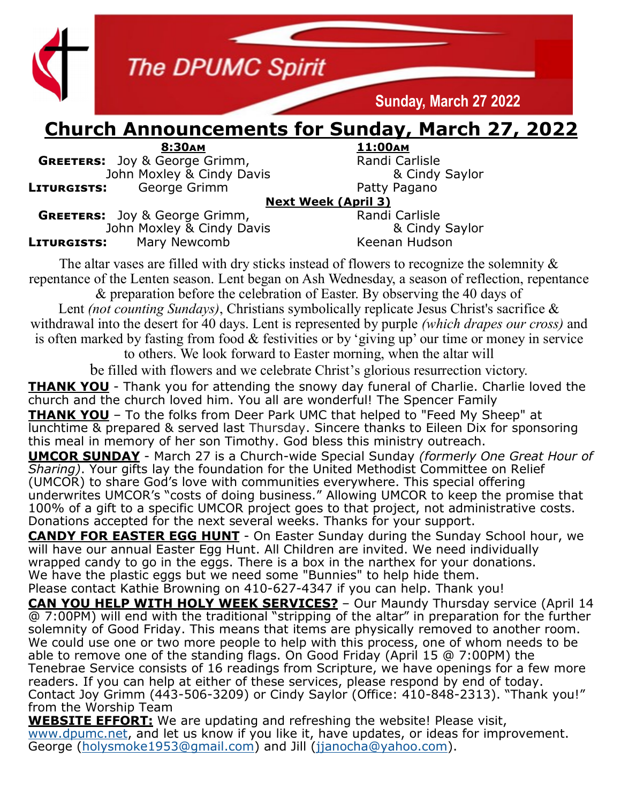

### **Church Announcements for Sunday, March 27, 2022**

**8:30am 11:00am GREETERS:** Joy & George Grimm, **Randi Carlisle** Randi Carlisle John Moxley & Cindy Baylor John Moxley & Cindy Davis **LITURGISTS:** George Grimm **Communist Contract Pacty Pagano** 

**Next Week (April 3)**

**GREETERS:** Joy & George Grimm, The Randi Carlisle Randi Carlisle John Moxley & Cindy Savlor John Moxley & Cindy Davis **LITURGISTS:** Mary Newcomb Keenan Hudson

The altar vases are filled with dry sticks instead of flowers to recognize the solemnity & repentance of the Lenten season. Lent began on Ash Wednesday, a season of reflection, repentance & preparation before the celebration of Easter. By observing the 40 days of

Lent *(not counting Sundays)*, Christians symbolically replicate Jesus Christ's sacrifice & withdrawal into the desert for 40 days. Lent is represented by purple *(which drapes our cross)* and is often marked by fasting from food & festivities or by 'giving up' our time or money in service

to others. We look forward to Easter morning, when the altar will

be filled with flowers and we celebrate Christ's glorious resurrection victory.

**THANK YOU** - Thank you for attending the snowy day funeral of Charlie. Charlie loved the church and the church loved him. You all are wonderful! The Spencer Family **THANK YOU** – To the folks from Deer Park UMC that helped to "Feed My Sheep" at lunchtime & prepared & served last Thursday. Sincere thanks to Eileen Dix for sponsoring this meal in memory of her son Timothy. God bless this ministry outreach.

**UMCOR SUNDAY** - March 27 is a Church-wide Special Sunday *(formerly One Great Hour of Sharing)*. Your gifts lay the foundation for the United Methodist Committee on Relief (UMCOR) to share God's love with communities everywhere. This special offering underwrites UMCOR's "costs of doing business." Allowing UMCOR to keep the promise that 100% of a gift to a specific UMCOR project goes to that project, not administrative costs. Donations accepted for the next several weeks. Thanks for your support.

**CANDY FOR EASTER EGG HUNT** - On Easter Sunday during the Sunday School hour, we will have our annual Easter Egg Hunt. All Children are invited. We need individually wrapped candy to go in the eggs. There is a box in the narthex for your donations. We have the plastic eggs but we need some "Bunnies" to help hide them. Please contact Kathie Browning on 410-627-4347 if you can help. Thank you!

**CAN YOU HELP WITH HOLY WEEK SERVICES?** – Our Maundy Thursday service (April 14 @ 7:00PM) will end with the traditional "stripping of the altar" in preparation for the further solemnity of Good Friday. This means that items are physically removed to another room. We could use one or two more people to help with this process, one of whom needs to be able to remove one of the standing flags. On Good Friday (April 15 @ 7:00PM) the Tenebrae Service consists of 16 readings from Scripture, we have openings for a few more readers. If you can help at either of these services, please respond by end of today. Contact Joy Grimm (443-506-3209) or Cindy Saylor (Office: 410-848-2313). "Thank you!" from the Worship Team

**WEBSITE EFFORT:** We are updating and refreshing the website! Please visit, [www.dpumc.net,](http://www.dpumc.net) and let us know if you like it, have updates, or ideas for improvement. George [\(holysmoke1953@gmail.com\)](mailto:holysmokes1953@gmail.com) and Jill ([jjanocha@yahoo.com\).](mailto:jjanocha@yahoo.com)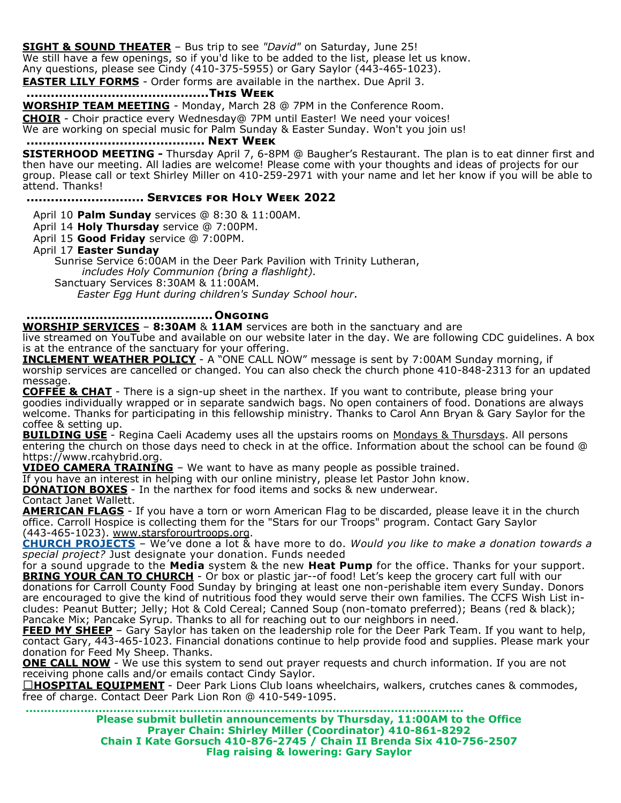**SIGHT & SOUND THEATER** – Bus trip to see *"David"* on Saturday, June 25! We still have a few openings, so if you'd like to be added to the list, please let us know.

Any questions, please see Cindy (410-375-5955) or Gary Saylor (443-465-1023).

**EASTER LILY FORMS** - Order forms are available in the narthex. Due April 3.

#### **.............................................This Week**

**WORSHIP TEAM MEETING** - Monday, March 28 @ 7PM in the Conference Room.

**CHOIR** - Choir practice every Wednesday@ 7PM until Easter! We need your voices!

We are working on special music for Palm Sunday & Easter Sunday. Won't you join us!

#### **............................................ Next Week**

**SISTERHOOD MEETING -** Thursday April 7, 6-8PM @ Baugher's Restaurant. The plan is to eat dinner first and then have our meeting. All ladies are welcome! Please come with your thoughts and ideas of projects for our group. Please call or text Shirley Miller on 410-259-2971 with your name and let her know if you will be able to attend. Thanks!

#### **............................. Services for Holy Week 2022**

April 10 **Palm Sunday** services @ 8:30 & 11:00AM.

April 14 **Holy Thursday** service @ 7:00PM.

April 15 **Good Friday** service @ 7:00PM.

#### April 17 **Easter Sunday**

Sunrise Service 6:00AM in the Deer Park Pavilion with Trinity Lutheran,

*includes Holy Communion (bring a flashlight).*

Sanctuary Services 8:30AM & 11:00AM.

*Easter Egg Hunt during children's Sunday School hour.*

#### **..............................................Ongoing**

**WORSHIP SERVICES** – **8:30AM** & **11AM** services are both in the sanctuary and are

live streamed on YouTube and available on our website later in the day. We are following CDC guidelines. A box is at the entrance of the sanctuary for your offering.

**INCLEMENT WEATHER POLICY** - A "ONE CALL NOW" message is sent by 7:00AM Sunday morning, if worship services are cancelled or changed. You can also check the church phone 410-848-2313 for an updated message.

**COFFEE & CHAT** - There is a sign-up sheet in the narthex. If you want to contribute, please bring your goodies individually wrapped or in separate sandwich bags. No open containers of food. Donations are always welcome. Thanks for participating in this fellowship ministry. Thanks to Carol Ann Bryan & Gary Saylor for the coffee & setting up.

**BUILDING USE** - Regina Caeli Academy uses all the upstairs rooms on Mondays & Thursdays. All persons entering the church on those days need to check in at the office. Information about the school can be found @ https://www.rcahybrid.org.

**VIDEO CAMERA TRAINING** – We want to have as many people as possible trained.

If you have an interest in helping with our online ministry, please let Pastor John know.

**DONATION BOXES** - In the narthex for food items and socks & new underwear.

Contact Janet Wallett.

**AMERICAN FLAGS** - If you have a torn or worn American Flag to be discarded, please leave it in the church office. Carroll Hospice is collecting them for the "Stars for our Troops" program. Contact Gary Saylor (443-465-1023). www.starsforourtroops.org.

**CHURCH PROJECTS** – We've done a lot & have more to do. *Would you like to make a donation towards a special project?* Just designate your donation. Funds needed

for a sound upgrade to the **Media** system & the new **Heat Pump** for the office. Thanks for your support. **BRING YOUR CAN TO CHURCH** - Or box or plastic jar--of food! Let's keep the grocery cart full with our donations for Carroll County Food Sunday by bringing at least one non-perishable item every Sunday. Donors are encouraged to give the kind of nutritious food they would serve their own families. The CCFS Wish List includes: Peanut Butter; Jelly; Hot & Cold Cereal; Canned Soup (non-tomato preferred); Beans (red & black); Pancake Mix; Pancake Syrup. Thanks to all for reaching out to our neighbors in need.

**FEED MY SHEEP** - Gary Saylor has taken on the leadership role for the Deer Park Team. If you want to help, contact Gary, 443-465-1023. Financial donations continue to help provide food and supplies. Please mark your donation for Feed My Sheep. Thanks.

**ONE CALL NOW** - We use this system to send out prayer requests and church information. If you are not receiving phone calls and/or emails contact Cindy Saylor.

□HOSPITAL EQUIPMENT - Deer Park Lions Club loans wheelchairs, walkers, crutches canes & commodes, free of charge. Contact Deer Park Lion Ron @ 410-549-1095.

> **........................................................................................................................ Please submit bulletin announcements by Thursday, 11:00AM to the Office Prayer Chain: Shirley Miller (Coordinator) 410-861-8292 Chain I Kate Gorsuch 410-876-2745 / Chain II Brenda Six 410-756-2507 Flag raising & lowering: Gary Saylor**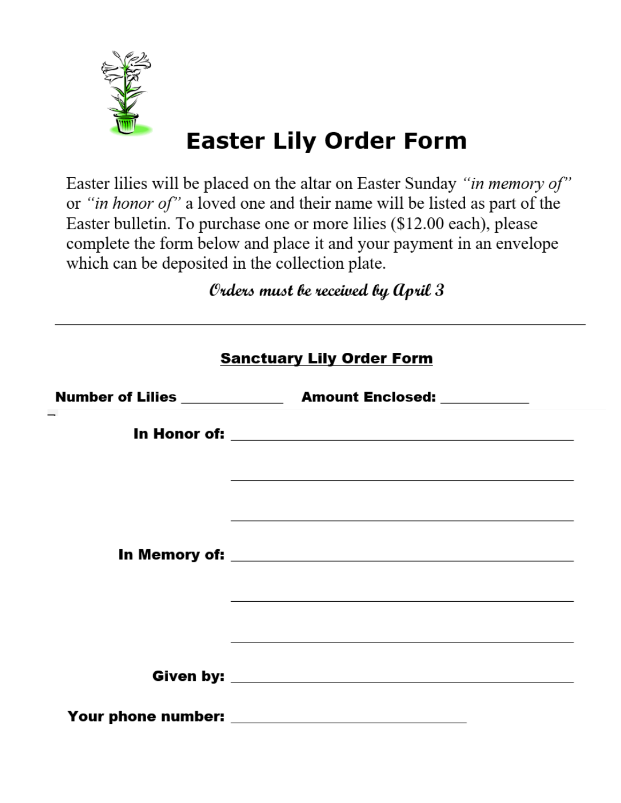

# **Easter Lily Order Form**

Easter lilies will be placed on the altar on Easter Sunday "in memory of" or "in honor of" a loved one and their name will be listed as part of the Easter bulletin. To purchase one or more lilies (\$12.00 each), please complete the form below and place it and your payment in an envelope which can be deposited in the collection plate.

Orders must be received by April 3

| <b>Sanctuary Lily Order Form</b> |                                                                                                                                                                                                      |  |  |  |  |  |  |
|----------------------------------|------------------------------------------------------------------------------------------------------------------------------------------------------------------------------------------------------|--|--|--|--|--|--|
|                                  |                                                                                                                                                                                                      |  |  |  |  |  |  |
|                                  |                                                                                                                                                                                                      |  |  |  |  |  |  |
|                                  | ,我们也不能在这里的时候,我们也不能在这里的时候,我们也不能会在这里的时候,我们也不能会在这里的时候,我们也不能会在这里的时候,我们也不能会在这里的时候,我们也<br>and the control of the control of the control of the control of the control of the control of the control of the |  |  |  |  |  |  |
|                                  |                                                                                                                                                                                                      |  |  |  |  |  |  |
|                                  |                                                                                                                                                                                                      |  |  |  |  |  |  |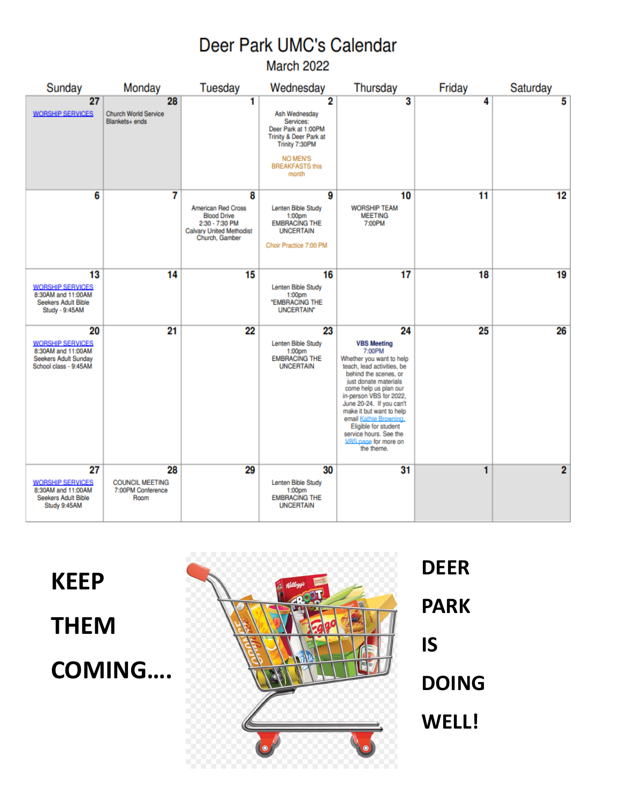## Deer Park UMC's Calendar

March 2022

| Sunday                                                                                               | Monday                                                    | <b>Tuesday</b>                                                                                                              | Wednesday                                                                                                                                                           | <b>Thursday</b>                                                                                                                                                                                                                                                                                                                                                              | Friday | Saturday |
|------------------------------------------------------------------------------------------------------|-----------------------------------------------------------|-----------------------------------------------------------------------------------------------------------------------------|---------------------------------------------------------------------------------------------------------------------------------------------------------------------|------------------------------------------------------------------------------------------------------------------------------------------------------------------------------------------------------------------------------------------------------------------------------------------------------------------------------------------------------------------------------|--------|----------|
| 27<br><b>WORSHIP SERVICES</b>                                                                        | 28<br><b>Church World Service</b><br>Blankets+ ends       | 1                                                                                                                           | 2<br>Ash Wednesday<br>Services:<br>Deer Park at 1:00PM<br><b>Trinity &amp; Deer Park at</b><br>Trinity 7:30PM<br><b>NO MEN'S</b><br><b>BREAKFASTS this</b><br>month | 3                                                                                                                                                                                                                                                                                                                                                                            | 4      | 5        |
| 6                                                                                                    | 7                                                         | 8<br><b>American Red Cross</b><br><b>Blood Drive</b><br>2:30 - 7:30 PM<br><b>Calvary United Methodist</b><br>Church, Gamber | 9<br>Lenten Bible Study<br>1:00 <sub>DT</sub><br><b>EMBRACING THE</b><br><b>UNCERTAIN</b><br>Choir Practice 7:00 PM                                                 | 10<br><b>WORSHIP TEAM</b><br><b>MEETING</b><br>7:00PM                                                                                                                                                                                                                                                                                                                        | 11     | 12       |
| 13<br><b>WORSHIP SERVICES</b><br>8:30AM and 11:00AM<br>Seekers Adult Bible<br>Study - 9:45AM         | 14                                                        | 15                                                                                                                          | 16<br>Lenten Bible Study<br>1:00 <sub>pm</sub><br>"EMBRACING THE<br><b>UNCERTAIN*</b>                                                                               | 17                                                                                                                                                                                                                                                                                                                                                                           | 18     | 19       |
| 20<br><b>WORSHIP SERVICES</b><br>8:30AM and 11:00AM<br>Seekers Adult Sunday<br>School class - 9:45AM | 21                                                        | 22                                                                                                                          | 23<br>Lenten Bible Study<br>1:00 <sub>DT</sub><br><b>EMBRACING THE</b><br><b>UNCERTAIN</b>                                                                          | 24<br><b>VBS Meeting</b><br>7:00PM<br>Whether you want to help<br>teach, lead activities, be<br>behind the scenes, or<br>just donate materials<br>come help us plan our<br>in-person VBS for 2022,<br>June 20-24. If you can't<br>make it but want to help<br>email Kathie Browning.<br>Eligible for student<br>service hours. See the<br>VRS nane for more on<br>the theme. | 25     | 26       |
| 27<br><b>WORSHIP SERVICES</b><br>8:30AM and 11:00AM<br>Seekers Adult Bible<br>Study 9:45AM           | 28<br><b>COUNCIL MEETING</b><br>7:00PM Conference<br>Room | 29                                                                                                                          | 30<br>Lenten Bible Study<br>1:00 <sub>pm</sub><br><b>EMBRACING THE</b><br><b>UNCERTAIN</b>                                                                          | 31                                                                                                                                                                                                                                                                                                                                                                           | 1      | 2        |

**KEEP THEM COMING....** 



**DEER PARK IS DOING** WELL!